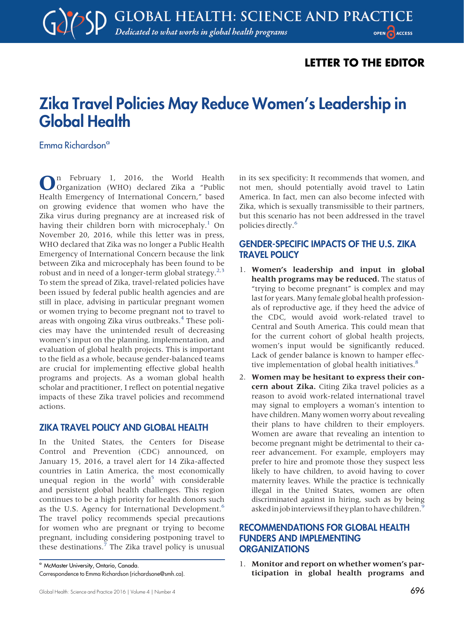# LETTER TO THE EDITOR

# Zika Travel Policies May Reduce Women's Leadership in Global Health

Emma Richardsona

n February 1, 2016, the World Health Organization (WHO) declared Zika a "Public Health Emergency of International Concern," based on growing evidence that women who have the Zika virus during pregnancy are at increased risk of having their children born with microcephaly.<sup>[1](#page-1-0)</sup> On November 20, 2016, while this letter was in press, WHO declared that Zika was no longer a Public Health Emergency of International Concern because the link between Zika and microcephaly has been found to be robust and in need of a longer-term global strategy.<sup>[2,](#page-1-1)[3](#page-1-2)</sup> To stem the spread of Zika, travel-related policies have been issued by federal public health agencies and are still in place, advising in particular pregnant women or women trying to become pregnant not to travel to areas with ongoing Zika virus outbreaks.<sup>[4](#page-1-3)</sup> These policies may have the unintended result of decreasing women's input on the planning, implementation, and evaluation of global health projects. This is important to the field as a whole, because gender-balanced teams are crucial for implementing effective global health programs and projects. As a woman global health scholar and practitioner, I reflect on potential negative impacts of these Zika travel policies and recommend actions.

#### ZIKA TRAVEL POLICY AND GLOBAL HEALTH

In the United States, the Centers for Disease Control and Prevention (CDC) announced, on January 15, 2016, a travel alert for 14 Zika-affected countries in Latin America, the most economically unequal region in the world<sup>[5](#page-1-4)</sup> with considerable and persistent global health challenges. This region continues to be a high priority for health donors such as the U.S. Agency for International Development.<sup>[6](#page-1-5)</sup> The travel policy recommends special precautions for women who are pregnant or trying to become pregnant, including considering postponing travel to these destinations.<sup>[7](#page-1-6)</sup> The Zika travel policy is unusual

in its sex specificity: It recommends that women, and not men, should potentially avoid travel to Latin America. In fact, men can also become infected with Zika, which is sexually transmissible to their partners, but this scenario has not been addressed in the travel policies directly.[6](#page-1-5)

#### GENDER-SPECIFIC IMPACTS OF THE U.S. ZIKA TRAVEL POLICY

- 1. Women's leadership and input in global health programs may be reduced. The status of "trying to become pregnant" is complex and may last for years. Many female global health professionals of reproductive age, if they heed the advice of the CDC, would avoid work-related travel to Central and South America. This could mean that for the current cohort of global health projects, women's input would be significantly reduced. Lack of gender balance is known to hamper effective implementation of global health initiatives. $8$
- 2. Women may be hesitant to express their concern about Zika. Citing Zika travel policies as a reason to avoid work-related international travel may signal to employers a woman's intention to have children. Many women worry about revealing their plans to have children to their employers. Women are aware that revealing an intention to become pregnant might be detrimental to their career advancement. For example, employers may prefer to hire and promote those they suspect less likely to have children, to avoid having to cover maternity leaves. While the practice is technically illegal in the United States, women are often discriminated against in hiring, such as by being asked in job interviews if they plan to have children.<sup>9</sup>

#### RECOMMENDATIONS FOR GLOBAL HEALTH FUNDERS AND IMPLEMENTING **ORGANIZATIONS**

1. Monitor and report on whether women's participation in global health programs and

<sup>a</sup> McMaster University, Ontario, Canada. Correspondence to Emma Richardson ([richardsone@smh.ca\)](mailto:richardsone@smh.ca).